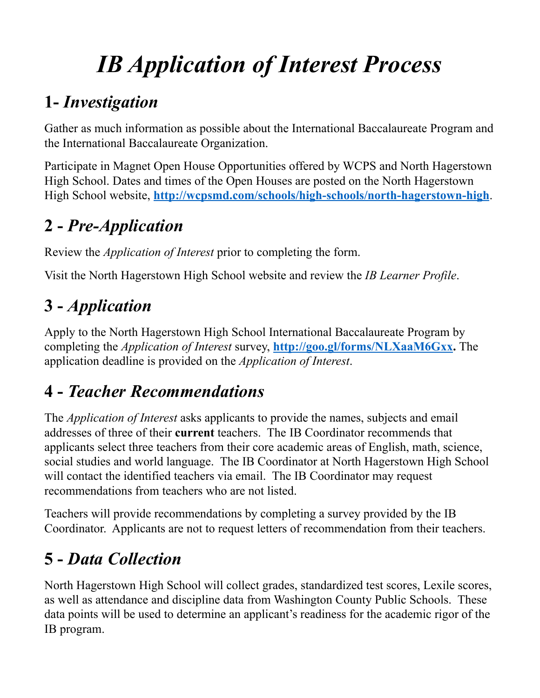# *IB Application of Interest Process*

## **1-** *Investigation*

Gather as much information as possible about the International Baccalaureate Program and the International Baccalaureate Organization.

Participate in Magnet Open House Opportunities offered by WCPS and North Hagerstown High School. Dates and times of the Open Houses are posted on the North Hagerstown High School website, **<http://wcpsmd.com/schools/high-schools/north-hagerstown-high>**.

## **2 -** *Pre-Application*

Review the *Application of Interest* prior to completing the form.

Visit the North Hagerstown High School website and review the *IB Learner Profile*.

## **3 -** *Application*

Apply to the North Hagerstown High School International Baccalaureate Program by completing the *Application of Interest* survey, **[http://goo.gl/forms/NLXaaM6Gxx.](http://goo.gl/forms/NLXaaM6Gxx)** The application deadline is provided on the *Application of Interest*.

## **4 -** *Teacher Recommendations*

The *Application of Interest* asks applicants to provide the names, subjects and email addresses of three of their **current** teachers. The IB Coordinator recommends that applicants select three teachers from their core academic areas of English, math, science, social studies and world language. The IB Coordinator at North Hagerstown High School will contact the identified teachers via email. The IB Coordinator may request recommendations from teachers who are not listed.

Teachers will provide recommendations by completing a survey provided by the IB Coordinator. Applicants are not to request letters of recommendation from their teachers.

## **5 -** *Data Collection*

North Hagerstown High School will collect grades, standardized test scores, Lexile scores, as well as attendance and discipline data from Washington County Public Schools. These data points will be used to determine an applicant's readiness for the academic rigor of the IB program.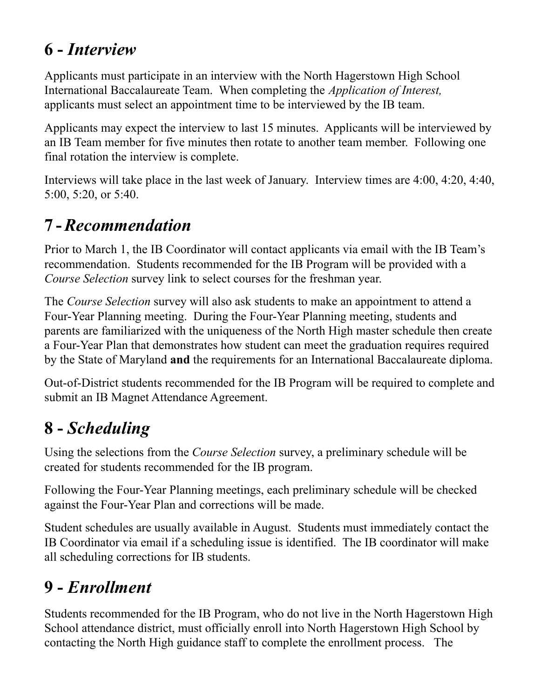#### **6 -** *Interview*

Applicants must participate in an interview with the North Hagerstown High School International Baccalaureate Team. When completing the *Application of Interest,* applicants must select an appointment time to be interviewed by the IB team.

Applicants may expect the interview to last 15 minutes. Applicants will be interviewed by an IB Team member for five minutes then rotate to another team member. Following one final rotation the interview is complete.

Interviews will take place in the last week of January. Interview times are 4:00, 4:20, 4:40, 5:00, 5:20, or 5:40.

#### **7 -***Recommendation*

Prior to March 1, the IB Coordinator will contact applicants via email with the IB Team's recommendation. Students recommended for the IB Program will be provided with a *Course Selection* survey link to select courses for the freshman year.

The *Course Selection* survey will also ask students to make an appointment to attend a Four-Year Planning meeting. During the Four-Year Planning meeting, students and parents are familiarized with the uniqueness of the North High master schedule then create a Four-Year Plan that demonstrates how student can meet the graduation requires required by the State of Maryland **and** the requirements for an International Baccalaureate diploma.

Out-of-District students recommended for the IB Program will be required to complete and submit an IB Magnet Attendance Agreement.

#### **8 -** *Scheduling*

Using the selections from the *Course Selection* survey, a preliminary schedule will be created for students recommended for the IB program.

Following the Four-Year Planning meetings, each preliminary schedule will be checked against the Four-Year Plan and corrections will be made.

Student schedules are usually available in August. Students must immediately contact the IB Coordinator via email if a scheduling issue is identified. The IB coordinator will make all scheduling corrections for IB students.

#### **9 -** *Enrollment*

Students recommended for the IB Program, who do not live in the North Hagerstown High School attendance district, must officially enroll into North Hagerstown High School by contacting the North High guidance staff to complete the enrollment process. The